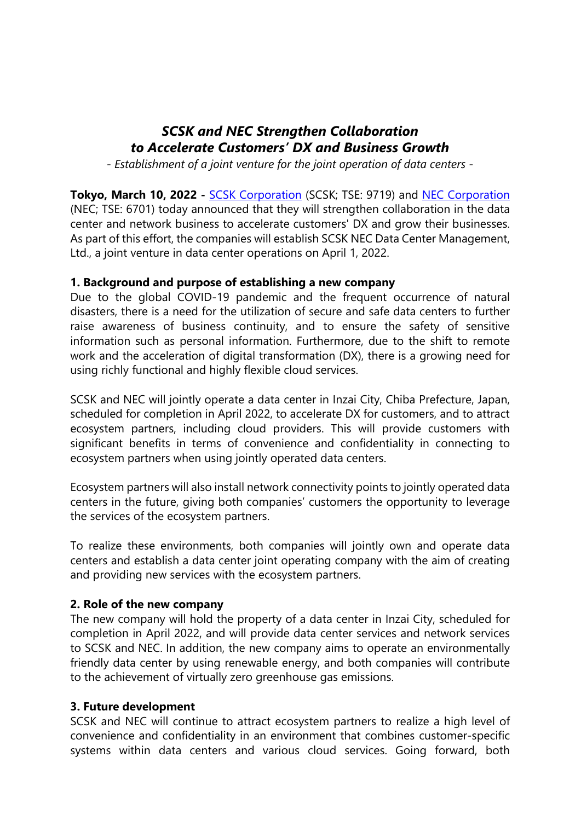# *SCSK and NEC Strengthen Collaboration to Accelerate Customers' DX and Business Growth*

*- Establishment of a joint venture for the joint operation of data centers -* 

**Tokyo, March 10, 2022 - SCSK Corporation (SCSK; TSE: 9719) and NEC Corporation** (NEC; TSE: 6701) today announced that they will strengthen collaboration in the data center and network business to accelerate customers' DX and grow their businesses. As part of this effort, the companies will establish SCSK NEC Data Center Management, Ltd., a joint venture in data center operations on April 1, 2022.

### **1. Background and purpose of establishing a new company**

Due to the global COVID-19 pandemic and the frequent occurrence of natural disasters, there is a need for the utilization of secure and safe data centers to further raise awareness of business continuity, and to ensure the safety of sensitive information such as personal information. Furthermore, due to the shift to remote work and the acceleration of digital transformation (DX), there is a growing need for using richly functional and highly flexible cloud services.

SCSK and NEC will jointly operate a data center in Inzai City, Chiba Prefecture, Japan, scheduled for completion in April 2022, to accelerate DX for customers, and to attract ecosystem partners, including cloud providers. This will provide customers with significant benefits in terms of convenience and confidentiality in connecting to ecosystem partners when using jointly operated data centers.

Ecosystem partners will also install network connectivity points to jointly operated data centers in the future, giving both companies' customers the opportunity to leverage the services of the ecosystem partners.

To realize these environments, both companies will jointly own and operate data centers and establish a data center joint operating company with the aim of creating and providing new services with the ecosystem partners.

#### **2. Role of the new company**

The new company will hold the property of a data center in Inzai City, scheduled for completion in April 2022, and will provide data center services and network services to SCSK and NEC. In addition, the new company aims to operate an environmentally friendly data center by using renewable energy, and both companies will contribute to the achievement of virtually zero greenhouse gas emissions.

#### **3. Future development**

SCSK and NEC will continue to attract ecosystem partners to realize a high level of convenience and confidentiality in an environment that combines customer-specific systems within data centers and various cloud services. Going forward, both